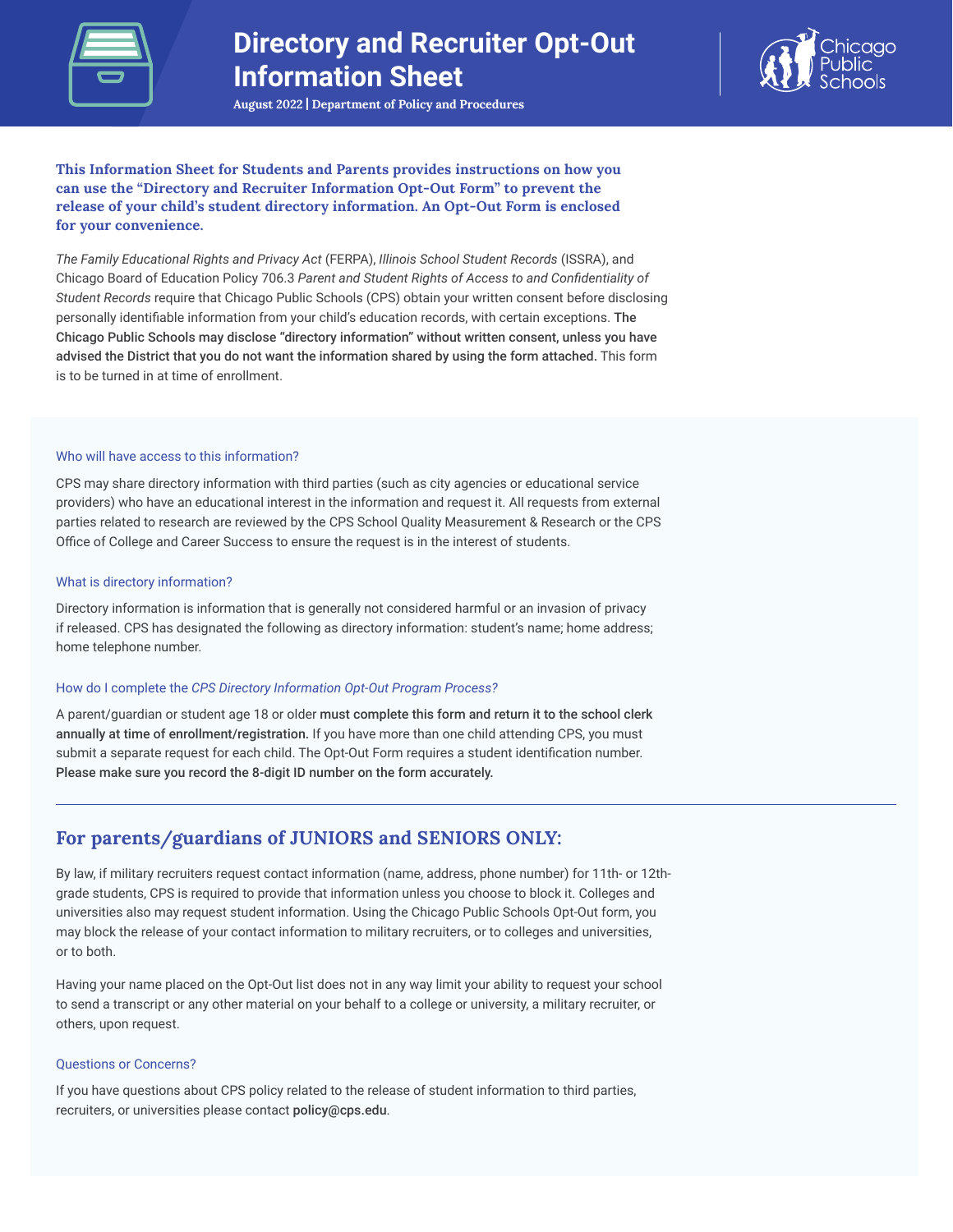

# **Directory and Recruiter Opt-Out Information Sheet**



**August 2022 | Department of Policy and Procedures**

**This Information Sheet for Students and Parents provides instructions on how you can use the "Directory and Recruiter Information Opt-Out Form" to prevent the release of your child's student directory information. An Opt-Out Form is enclosed for your convenience.**

*The Family Educational Rights and Privacy Act* (FERPA), *Illinois School Student Records* (ISSRA), and Chicago Board of Education Policy 706.3 Parent and Student Rights of Access to and Confidentiality of *Student Records* require that Chicago Public Schools (CPS) obtain your written consent before disclosing personally identifiable information from your child's education records, with certain exceptions. The Chicago Public Schools may disclose "directory information" without written consent, unless you have advised the District that you do not want the information shared by using the form attached. This form is to be turned in at time of enrollment.

### Who will have access to this information?

CPS may share directory information with third parties (such as city agencies or educational service providers) who have an educational interest in the information and request it. All requests from external parties related to research are reviewed by the CPS School Quality Measurement & Research or the CPS Office of College and Career Success to ensure the request is in the interest of students.

## What is directory information?

Directory information is information that is generally not considered harmful or an invasion of privacy if released. CPS has designated the following as directory information: student's name; home address; home telephone number.

#### How do I complete the *CPS Directory Information Opt-Out Program Process?*

A parent/guardian or student age 18 or older must complete this form and return it to the school clerk annually at time of enrollment/registration. If you have more than one child attending CPS, you must submit a separate request for each child. The Opt-Out Form requires a student identification number. Please make sure you record the 8-digit ID number on the form accurately.

# **For parents/guardians of JUNIORS and SENIORS ONLY:**

By law, if military recruiters request contact information (name, address, phone number) for 11th- or 12thgrade students, CPS is required to provide that information unless you choose to block it. Colleges and universities also may request student information. Using the Chicago Public Schools Opt-Out form, you may block the release of your contact information to military recruiters, or to colleges and universities, or to both.

Having your name placed on the Opt-Out list does not in any way limit your ability to request your school to send a transcript or any other material on your behalf to a college or university, a military recruiter, or others, upon request.

# Questions or Concerns?

If you have questions about CPS policy related to the release of student information to third parties, recruiters, or universities please contact policy@cps.edu.